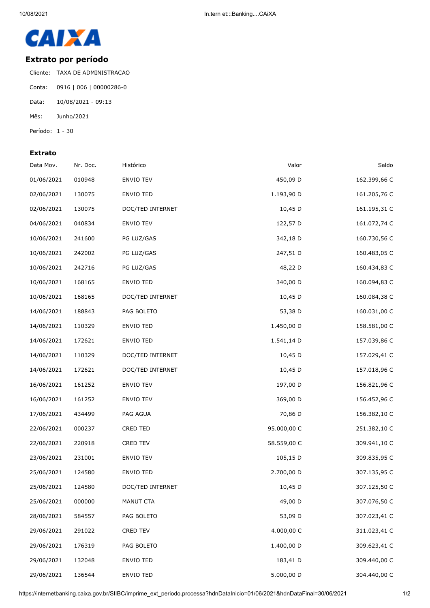

## **Extrato por período**

Cliente: TAXA DE ADMINISTRACAO Conta: 0916 | 006 | 00000286-0 Data: 10/08/2021 - 09:13 Mês: Junho/2021 Período: 1 - 30

## **Extrato**

| Data Mov.  | Nr. Doc. | Histórico        | Valor       | Saldo        |
|------------|----------|------------------|-------------|--------------|
| 01/06/2021 | 010948   | ENVIO TEV        | 450,09 D    | 162.399,66 C |
| 02/06/2021 | 130075   | ENVIO TED        | 1.193,90 D  | 161.205,76 C |
| 02/06/2021 | 130075   | DOC/TED INTERNET | 10,45 D     | 161.195,31 C |
| 04/06/2021 | 040834   | ENVIO TEV        | 122,57 D    | 161.072,74 C |
| 10/06/2021 | 241600   | PG LUZ/GAS       | 342,18 D    | 160.730,56 C |
| 10/06/2021 | 242002   | PG LUZ/GAS       | 247,51 D    | 160.483,05 C |
| 10/06/2021 | 242716   | PG LUZ/GAS       | 48,22 D     | 160.434,83 C |
| 10/06/2021 | 168165   | ENVIO TED        | 340,00 D    | 160.094,83 C |
| 10/06/2021 | 168165   | DOC/TED INTERNET | 10,45 D     | 160.084,38 C |
| 14/06/2021 | 188843   | PAG BOLETO       | 53,38 D     | 160.031,00 C |
| 14/06/2021 | 110329   | ENVIO TED        | 1.450,00 D  | 158.581,00 C |
| 14/06/2021 | 172621   | <b>ENVIO TED</b> | 1.541,14 D  | 157.039,86 C |
| 14/06/2021 | 110329   | DOC/TED INTERNET | 10,45 D     | 157.029,41 C |
| 14/06/2021 | 172621   | DOC/TED INTERNET | 10,45 D     | 157.018,96 C |
| 16/06/2021 | 161252   | ENVIO TEV        | 197,00 D    | 156.821,96 C |
| 16/06/2021 | 161252   | ENVIO TEV        | 369,00 D    | 156.452,96 C |
| 17/06/2021 | 434499   | PAG AGUA         | 70,86 D     | 156.382,10 C |
| 22/06/2021 | 000237   | CRED TED         | 95.000,00 C | 251.382,10 C |
| 22/06/2021 | 220918   | CRED TEV         | 58.559,00 C | 309.941,10 C |
| 23/06/2021 | 231001   | ENVIO TEV        | 105,15 D    | 309.835,95 C |
| 25/06/2021 | 124580   | <b>ENVIO TED</b> | 2.700,00 D  | 307.135,95 C |
| 25/06/2021 | 124580   | DOC/TED INTERNET | 10,45 D     | 307.125,50 C |
| 25/06/2021 | 000000   | MANUT CTA        | 49,00 D     | 307.076,50 C |
| 28/06/2021 | 584557   | PAG BOLETO       | 53,09 D     | 307.023,41 C |
| 29/06/2021 | 291022   | CRED TEV         | 4.000,00 C  | 311.023,41 C |
| 29/06/2021 | 176319   | PAG BOLETO       | 1.400,00 D  | 309.623,41 C |
| 29/06/2021 | 132048   | ENVIO TED        | 183,41 D    | 309.440,00 C |
| 29/06/2021 | 136544   | <b>ENVIO TED</b> | 5.000,00 D  | 304.440,00 C |

https://internetbanking.caixa.gov.br/SIIBC/imprime\_ext\_periodo.processa?hdnDataInicio=01/06/2021&hdnDataFinal=30/06/2021